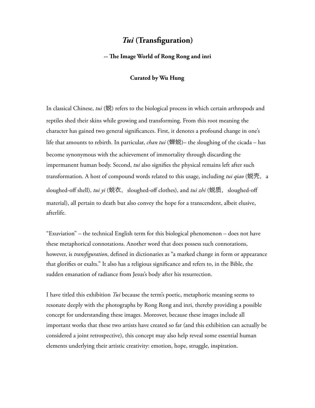# *Tui* **(Transfguration)**

### **-- Te Image World of Rong Rong and inri**

#### **Curated by Wu Hung**

In classical Chinese, *tui* (蜕) refers to the biological process in which certain arthropods and reptiles shed their skins while growing and transforming. From this root meaning the character has gained two general signifcances. First, it denotes a profound change in one's life that amounts to rebirth. In particular, *chan tui* (蝉蜕)– the sloughing of the cicada – has become synonymous with the achievement of immortality through discarding the impermanent human body. Second, *tui* also signifes the physical remains left after such transformation. A host of compound words related to this usage, including *tui qiao* (蜕壳, a sloughed-off shell), *tui yi* (蜕衣, sloughed-off clothes), and *tui zhi* (蜕质, sloughed-off material), all pertain to death but also convey the hope for a transcendent, albeit elusive, afterlife.

"Exuviation" – the technical English term for this biological phenomenon – does not have these metaphorical connotations. Another word that does possess such connotations, however, is *transfguration*, defned in dictionaries as "a marked change in form or appearance that glorifes or exalts." It also has a religious signifcance and refers to, in the Bible, the sudden emanation of radiance from Jesus's body after his resurrection.

I have titled this exhibition *Tui* because the term's poetic, metaphoric meaning seems to resonate deeply with the photographs by Rong Rong and inri, thereby providing a possible concept for understanding these images. Moreover, because these images include all important works that these two artists have created so far (and this exhibition can actually be considered a joint retrospective), this concept may also help reveal some essential human elements underlying their artistic creativity: emotion, hope, struggle, inspiration.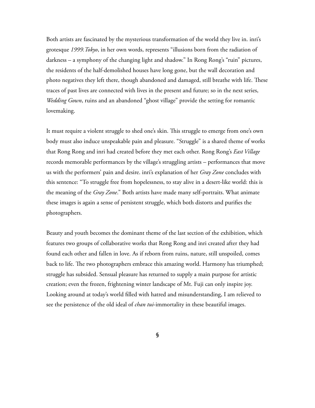Both artists are fascinated by the mysterious transformation of the world they live in. inri's grotesque *1999.Tokyo*, in her own words, represents "illusions born from the radiation of darkness – a symphony of the changing light and shadow." In Rong Rong's "ruin" pictures, the residents of the half-demolished houses have long gone, but the wall decoration and photo negatives they left there, though abandoned and damaged, still breathe with life. These traces of past lives are connected with lives in the present and future; so in the next series, *Wedding Gown*, ruins and an abandoned "ghost village" provide the setting for romantic lovemaking.

It must require a violent struggle to shed one's skin. This struggle to emerge from one's own body must also induce unspeakable pain and pleasure. "Struggle" is a shared theme of works that Rong Rong and inri had created before they met each other. Rong Rong's *East Village* records memorable performances by the village's struggling artists – performances that move us with the performers' pain and desire. inri's explanation of her *Gray Zone* concludes with this sentence: "To struggle free from hopelessness, to stay alive in a desert-like world: this is the meaning of the *Gray Zone*." Both artists have made many self-portraits. What animate these images is again a sense of persistent struggle, which both distorts and purifes the photographers.

Beauty and youth becomes the dominant theme of the last section of the exhibition, which features two groups of collaborative works that Rong Rong and inri created after they had found each other and fallen in love. As if reborn from ruins, nature, still unspoiled, comes back to life. The two photographers embrace this amazing world. Harmony has triumphed; struggle has subsided. Sensual pleasure has returned to supply a main purpose for artistic creation; even the frozen, frightening winter landscape of Mt. Fuji can only inspire joy. Looking around at today's world flled with hatred and misunderstanding, I am relieved to see the persistence of the old ideal of *chan tui*-immortality in these beautiful images.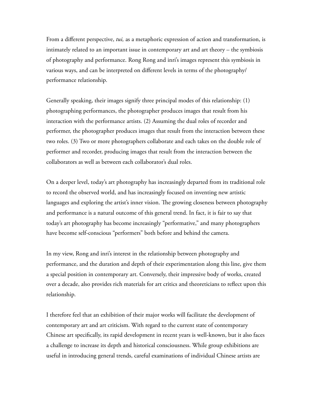From a different perspective, *tui,* as a metaphoric expression of action and transformation, is intimately related to an important issue in contemporary art and art theory – the symbiosis of photography and performance. Rong Rong and inri's images represent this symbiosis in various ways, and can be interpreted on different levels in terms of the photography/ performance relationship.

Generally speaking, their images signify three principal modes of this relationship: (1) photographing performances, the photographer produces images that result from his interaction with the performance artists. (2) Assuming the dual roles of recorder and performer, the photographer produces images that result from the interaction between these two roles. (3) Two or more photographers collaborate and each takes on the double role of performer and recorder, producing images that result from the interaction between the collaborators as well as between each collaborator's dual roles.

On a deeper level, today's art photography has increasingly departed from its traditional role to record the observed world, and has increasingly focused on inventing new artistic languages and exploring the artist's inner vision. The growing closeness between photography and performance is a natural outcome of this general trend. In fact, it is fair to say that today's art photography has become increasingly "performative," and many photographers have become self-conscious "performers" both before and behind the camera.

In my view, Rong and inri's interest in the relationship between photography and performance, and the duration and depth of their experimentation along this line, give them a special position in contemporary art. Conversely, their impressive body of works, created over a decade, also provides rich materials for art critics and theoreticians to refect upon this relationship.

I therefore feel that an exhibition of their major works will facilitate the development of contemporary art and art criticism. With regard to the current state of contemporary Chinese art specifcally, its rapid development in recent years is well-known, but it also faces a challenge to increase its depth and historical consciousness. While group exhibitions are useful in introducing general trends, careful examinations of individual Chinese artists are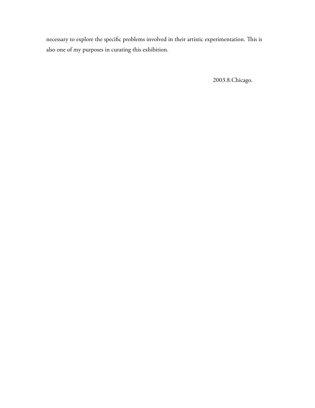necessary to explore the specific problems involved in their artistic experimentation. This is also one of my purposes in curating this exhibition.

2003.8.Chicago.